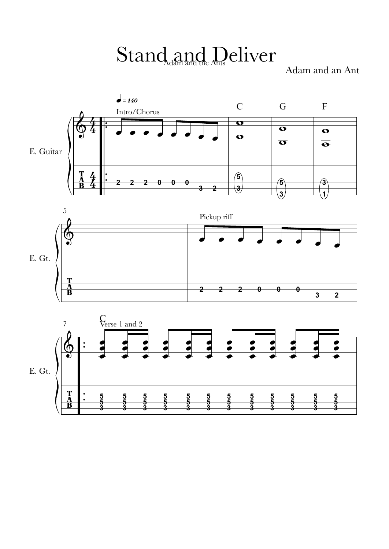Stand and Deliver

Adam and an Ant

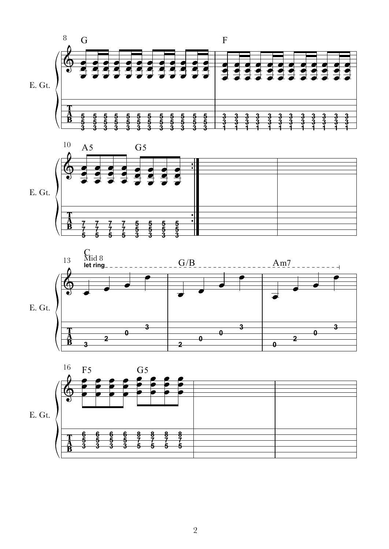





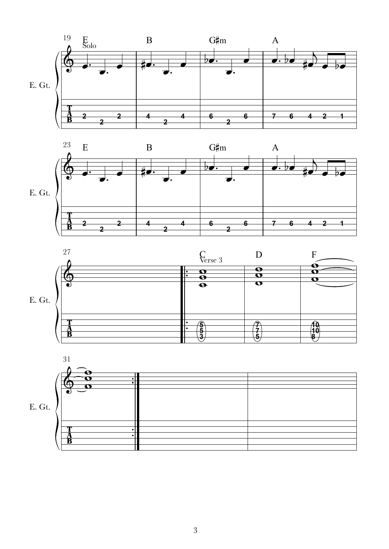